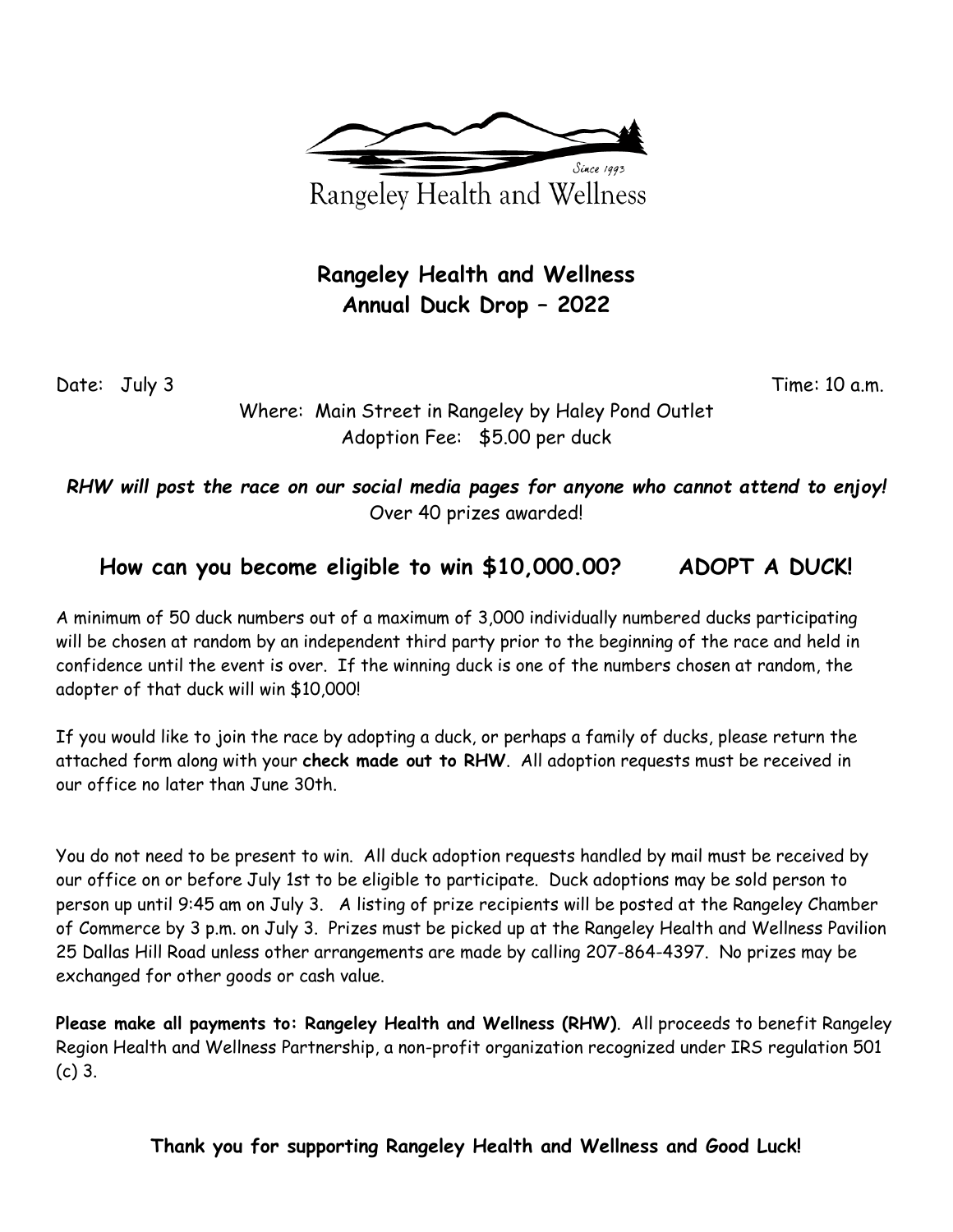

## **Rangeley Health and Wellness Annual Duck Drop – 2022**

Date: July 3 Time: 10 a.m.

Where: Main Street in Rangeley by Haley Pond Outlet Adoption Fee: \$5.00 per duck

*RHW will post the race on our social media pages for anyone who cannot attend to enjoy!* Over 40 prizes awarded!

## **How can you become eligible to win \$10,000.00? ADOPT A DUCK!**

A minimum of 50 duck numbers out of a maximum of 3,000 individually numbered ducks participating will be chosen at random by an independent third party prior to the beginning of the race and held in confidence until the event is over. If the winning duck is one of the numbers chosen at random, the adopter of that duck will win \$10,000!

If you would like to join the race by adopting a duck, or perhaps a family of ducks, please return the attached form along with your **check made out to RHW**. All adoption requests must be received in our office no later than June 30th.

You do not need to be present to win. All duck adoption requests handled by mail must be received by our office on or before July 1st to be eligible to participate. Duck adoptions may be sold person to person up until 9:45 am on July 3. A listing of prize recipients will be posted at the Rangeley Chamber of Commerce by 3 p.m. on July 3. Prizes must be picked up at the Rangeley Health and Wellness Pavilion 25 Dallas Hill Road unless other arrangements are made by calling 207-864-4397. No prizes may be exchanged for other goods or cash value.

**Please make all payments to: Rangeley Health and Wellness (RHW)**. All proceeds to benefit Rangeley Region Health and Wellness Partnership, a non-profit organization recognized under IRS regulation 501 (c) 3.

**Thank you for supporting Rangeley Health and Wellness and Good Luck!**